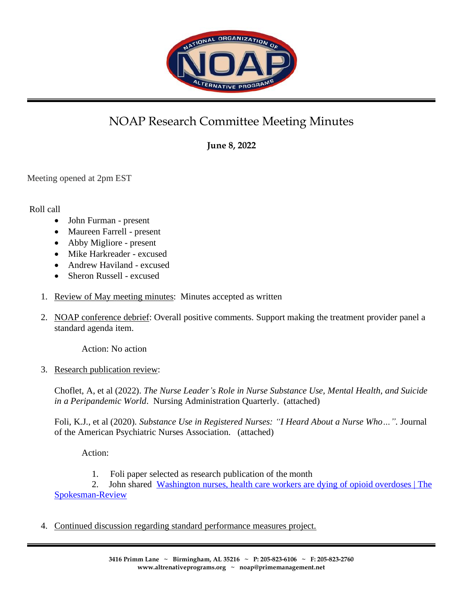

## NOAP Research Committee Meeting Minutes

**June 8, 2022**

Meeting opened at 2pm EST

## Roll call

- John Furman present
- Maureen Farrell present
- Abby Migliore present
- Mike Harkreader excused
- Andrew Haviland excused
- Sheron Russell excused
- 1. Review of May meeting minutes: Minutes accepted as written
- 2. NOAP conference debrief: Overall positive comments. Support making the treatment provider panel a standard agenda item.

Action: No action

3. Research publication review:

Choflet, A, et al (2022). *The Nurse Leader's Role in Nurse Substance Use, Mental Health, and Suicide in a Peripandemic World*. Nursing Administration Quarterly. (attached)

Foli, K.J., et al (2020). *Substance Use in Registered Nurses: "I Heard About a Nurse Who…".* Journal of the American Psychiatric Nurses Association. (attached)

Action:

1. Foli paper selected as research publication of the month

2. John shared [Washington nurses, health care workers are dying of opioid overdoses | The](https://www.spokesman.com/stories/2018/feb/04/health-providers-are-dying-of-prescription-overdos/)  [Spokesman-Review](https://www.spokesman.com/stories/2018/feb/04/health-providers-are-dying-of-prescription-overdos/)

4. Continued discussion regarding standard performance measures project.